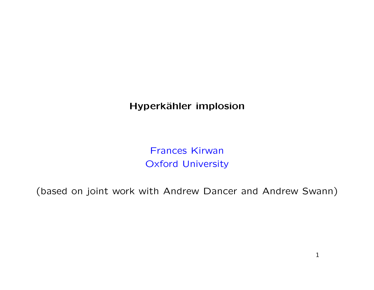Hyperkähler implosion

Frances Kirwan Oxford University

(based on joint work with Andrew Dancer and Andrew Swann)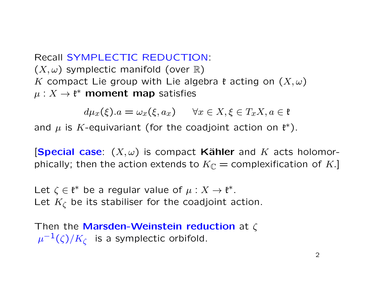Recall SYMPLECTIC REDUCTION:  $(X, \omega)$  symplectic manifold (over  $\mathbb{R}$ ) K compact Lie group with Lie algebra  $\mathfrak k$  acting on  $(X, \omega)$  $\mu: X \to \mathfrak{k}^*$  moment map satisfies

 $d\mu_x(\xi).a = \omega_x(\xi, a_x) \quad \forall x \in X, \xi \in T_xX, a \in \mathfrak{k}$ 

and  $\mu$  is K-equivariant (for the coadjoint action on  $\mathfrak{k}^*$ ).

**[Special case:**  $(X, \omega)$  is compact Kähler and K acts holomorphically; then the action extends to  $K_{\mathbb{C}}$  = complexification of K.]

Let  $\zeta \in \mathfrak{k}^*$  be a regular value of  $\mu : X \to \mathfrak{k}^*$ . Let  $K_{\zeta}$  be its stabiliser for the coadjoint action.

Then the Marsden-Weinstein reduction at  $\zeta$  $\mu^{-1}(\zeta)/K_\zeta$  is a symplectic orbifold.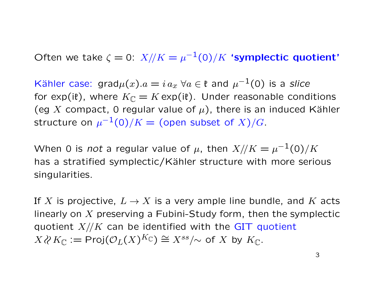Often we take  $\zeta = 0$ :  $X/\!/ K = \mu^{-1}(0)/K$  'symplectic quotient'

Kähler case: grad $\mu(x) . a = i \, a_x \,\, \forall a \in \mathfrak{k}$  and  $\mu^{-1}(0)$  is a slice for exp(it), where  $K_{\mathbb{C}} = K \exp(i\mathfrak{k})$ . Under reasonable conditions (eg X compact, 0 regular value of  $\mu$ ), there is an induced Kähler structure on  $\mu^{-1}(0)/K=$  (open subset of  $X)/G.$ 

When 0 is not a regular value of  $\mu$ , then  $X/\!/ K = \mu^{-1}(0)/K$ has a stratified symplectic/Kähler structure with more serious singularities.

If X is projective,  $L \to X$  is a very ample line bundle, and K acts linearly on  $X$  preserving a Fubini-Study form, then the symplectic quotient  $X//K$  can be identified with the GIT quotient  $X\wr X\mathbb{C}:=\mathsf{Proj}(\mathcal{O}_L(X)^{K_\mathbb{C}})\cong X^{ss}/\!\!\sim$  of  $X$  by  $K_\mathbb{C}.$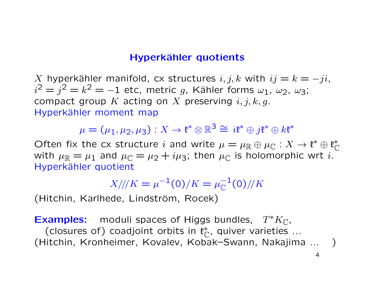#### Hyperkähler quotients

X hyperkähler manifold, cx structures  $i, j, k$  with  $ij = k = -ji$ ,  $i^2 = j^2 = k^2 = -1$  etc, metric g, Kähler forms  $\omega_1$ ,  $\omega_2$ ,  $\omega_3$ ; compact group K acting on X preserving  $i, j, k, g$ . Hyperkähler moment map

 $\mu=(\mu_1,\mu_2,\mu_3):X\to \mathfrak{k}^*\otimes \mathbb{R}^3\cong \ i\mathfrak{k}^*\oplus j\mathfrak{k}^*\oplus k\mathfrak{k}^*$ 

Often fix the cx structure i and write  $\mu = \mu_{\mathbb{R}} \oplus \mu_{\mathbb{C}} : X \to \mathfrak{k}^* \oplus \mathfrak{k}_{\mathbb{C}}^*$  $\tilde{\mathbb{C}}$ with  $\mu_{\mathbb{R}} = \mu_1$  and  $\mu_{\mathbb{C}} = \mu_2 + i\mu_3$ ; then  $\mu_{\mathbb{C}}$  is holomorphic wrt i. Hyperkähler quotient

$$
X/\!/\!/ K = \mu^{-1}(0)/K = \mu_{\mathbb{C}}^{-1}(0)/\!/ K
$$

(Hitchin, Karlhede, Lindström, Rocek)

Examples: moduli spaces of Higgs bundles,  $T^*K_{\mathbb{C}}$ , (closures of) coadjoint orbits in  $\mathfrak{k}_0^*$  $_{\mathbb{C}}^*$ , quiver varieties ... (Hitchin, Kronheimer, Kovalev, Kobak–Swann, Nakajima ... )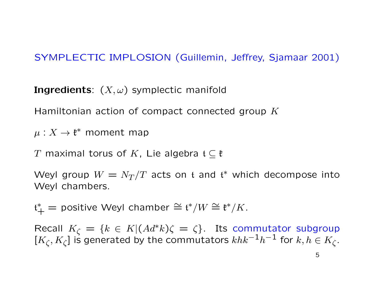## SYMPLECTIC IMPLOSION (Guillemin, Jeffrey, Sjamaar 2001)

**Ingredients**:  $(X, \omega)$  symplectic manifold

Hamiltonian action of compact connected group  $K$ 

 $\mu: X \to \mathfrak{k}^*$  moment map

T maximal torus of K, Lie algebra  $\mathfrak{t} \subseteq \mathfrak{k}$ 

Weyl group  $W = N_T/T$  acts on t and  $\mathfrak{t}^*$  which decompose into Weyl chambers.

 $\mathfrak{t}^*_+$  = positive Weyl chamber  $\cong \mathfrak{t}^*/W \cong \mathfrak{k}^*/K$ .

Recall  $K_{\zeta} = \{k \in K | (Ad^*k)\zeta = \zeta\}$ . Its commutator subgroup  $[K_{\zeta}, K_{\zeta}]$  is generated by the commutators  $khk^{-1}h^{-1}$  for  $k, h \in K_{\zeta}$ .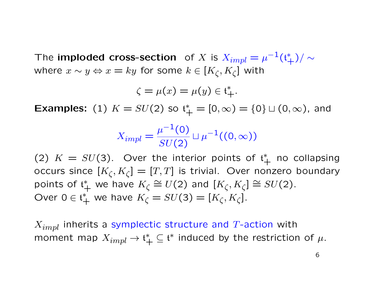The imploded cross-section of  $X$  is  $X_{impl} = \mu^{-1}(\mathfrak{t}^*_+)/\sim$ where  $x \sim y \Leftrightarrow x = ky$  for some  $k \in [K_\zeta, K_\zeta]$  with

$$
\zeta = \mu(x) = \mu(y) \in \mathfrak{t}_+^*.
$$

**Examples:** (1)  $K = SU(2)$  so  $t^*_{+} = [0, \infty) = \{0\} \sqcup (0, \infty)$ , and

$$
X_{impl} = \frac{\mu^{-1}(0)}{SU(2)} \sqcup \mu^{-1}((0, \infty))
$$

(2)  $K = SU(3)$ . Over the interior points of  $\mathfrak{t}^*_+$  no collapsing occurs since  $[K_\zeta,K_\zeta]=[T,T]$  is trivial. Over nonzero boundary points of  $\mathfrak{t}_+^*$  we have  $K_{\zeta} \cong U(2)$  and  $[K_{\zeta}, K_{\zeta}] \cong SU(2)$ . Over  $0 \in \mathfrak{t}_+^*$  we have  $K_{\zeta} = SU(3) = [K_{\zeta}, K_{\zeta}].$ 

 $X_{impl}$  inherits a symplectic structure and T-action with moment map  $X_{impl} \rightarrow \mathfrak{t}^*_+ \subseteq \mathfrak{t}^*$  induced by the restriction of  $\mu$ .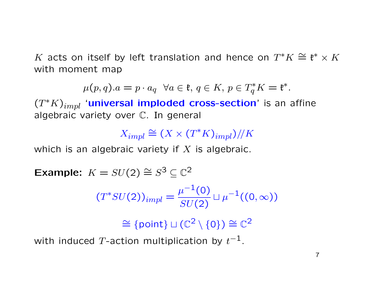K acts on itself by left translation and hence on  $T^*K \cong \mathfrak{k}^* \times K$ with moment map

$$
\mu(p,q).a = p \cdot a_q \quad \forall a \in \mathfrak{k}, \, q \in K, \, p \in T_q^*K = \mathfrak{k}^*.
$$

 $(T^*K)_{impl}$  'universal imploded cross-section' is an affine algebraic variety over C. In general

 $X_{impl} \cong (X \times (T^*K)_{impl})/K$ 

which is an algebraic variety if  $X$  is algebraic.

Example:  $K = SU(2) \cong S^3 \subseteq \mathbb{C}^2$ 

$$
(T^*SU(2))_{impl} = \frac{\mu^{-1}(0)}{SU(2)} \sqcup \mu^{-1}((0,\infty))
$$

 $\cong$  {point}  $\sqcup$  ( $\mathbb{C}^2 \setminus \{0\}$ )  $\cong$   $\mathbb{C}^2$ 

with induced  $T$ -action multiplication by  $t^{-1}$ .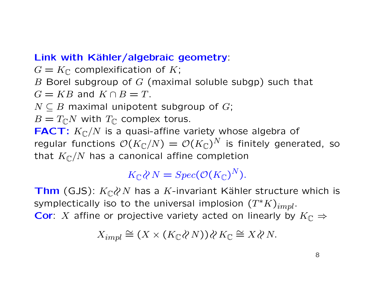### Link with Kähler/algebraic geometry:

 $G = K_{\mathbb{C}}$  complexification of K;

B Borel subgroup of  $G$  (maximal soluble subgp) such that

 $G = KB$  and  $K \cap B = T$ .

 $N \subseteq B$  maximal unipotent subgroup of G;

 $B=T_{\mathbb{C}}N$  with  $T_{\mathbb{C}}$  complex torus.

**FACT:**  $K_{\mathbb{C}}/N$  is a quasi-affine variety whose algebra of regular functions  $\mathcal{O}(K_\mathbb{C}/N) = \mathcal{O}(K_\mathbb{C})^N$  is finitely generated, so that  $K_{\mathbb{C}}/N$  has a canonical affine completion

 $K_{\mathbb{C}} \wr N = Spec(\mathcal{O}(K_{\mathbb{C}})^N).$ 

**Thm** (GJS):  $K_{\mathbb{C}}$  & N has a K-invariant Kähler structure which is symplectically iso to the universal implosion  $(T^{\ast}K)_{impl}.$ **Cor**: X affine or projective variety acted on linearly by  $K_{\mathbb{C}} \Rightarrow$ 

$$
X_{impl} \cong (X \times (K_{\mathbb{C}} \langle \mathcal{X} N \rangle) \langle \mathcal{X} K_{\mathbb{C}} \cong X \langle \mathcal{X} N \rangle.
$$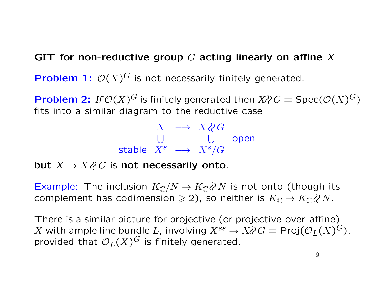### GIT for non-reductive group  $G$  acting linearly on affine  $X$

**Problem 1:**  $\mathcal{O}(X)^G$  is not necessarily finitely generated.

**Problem 2:** If  $\mathcal{O}(X)^G$  is finitely generated then  $X \wr C = \text{Spec}(\mathcal{O}(X)^G)$ fits into a similar diagram to the reductive case

$$
\begin{array}{rcl}\nX & \longrightarrow & X \wr C \\
\bigcup & & \bigcup & \text{open} \\
\text{stable} & X^s & \longrightarrow & X^s / G\n\end{array}
$$

but  $X \to X \wr C$  is not necessarily onto.

Example: The inclusion  $K_{\mathbb{C}}/N \to K_{\mathbb{C}} \partial N$  is not onto (though its complement has codimension  $\geq 2$ ), so neither is  $K_{\mathbb{C}} \to K_{\mathbb{C}} \wr \mathcal{C} N$ .

There is a similar picture for projective (or projective-over-affine)  $X$  with ample line bundle  $L$ , involving  $X^{ss} \to X\mathcal{C}G = \mathsf{Proj}(\mathcal{O}_L(X)^G)$ , provided that  $\mathcal{O}_L(X)^G$  is finitely generated.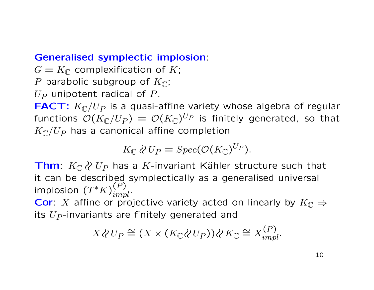### Generalised symplectic implosion:

 $G = K_{\mathbb{C}}$  complexification of K; P parabolic subgroup of  $K_{\mathbb{C}}$ ;

 $U_P$  unipotent radical of P.

**FACT:**  $K_{\mathbb{C}}/U_P$  is a quasi-affine variety whose algebra of regular functions  $\mathcal{O}(K_\mathbb{C}/U_P) \,=\, \mathcal{O}(K_\mathbb{C})^{U_P}$  is finitely generated, so that  $K_{\mathbb{C}}/U_P$  has a canonical affine completion

$$
K_{\mathbb{C}} \wr U_P = Spec(\mathcal{O}(K_{\mathbb{C}})^{U_P}).
$$

Thm:  $K_{\mathbb{C}}$   $\wr$   $U_P$  has a K-invariant Kähler structure such that it can be described symplectically as a generalised universal implosion  $(T^{\ast}K)^{(P)}_{impl}.$ 

**Cor**: X affine or projective variety acted on linearly by  $K_{\mathbb{C}} \Rightarrow$ its  $U_P$ -invariants are finitely generated and

$$
X \wr U_P \cong (X \times (K_{\mathbb{C}} \wr U_P)) \wr X_{\mathbb{C}} \cong X_{impl}^{(P)}.
$$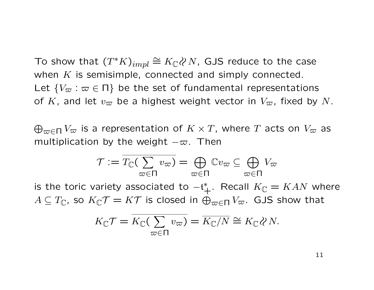To show that  $(T^*K)_{impl} \cong K_\mathbb{C} \langle N, \text{ GJS} \rangle$  reduce to the case when  $K$  is semisimple, connected and simply connected. Let  $\{V_{\varpi} : \varpi \in \Pi\}$  be the set of fundamental representations of K, and let  $v_{\infty}$  be a highest weight vector in  $V_{\infty}$ , fixed by N.

 $\bigoplus_{\varpi \in \Pi} V_\varpi$  is a representation of  $K \times T$ , where  $T$  acts on  $V_\varpi$  as multiplication by the weight  $-\varpi$ . Then

$$
\mathcal{T} := \overline{T_{\mathbb{C}}(\sum_{\varpi \in \Pi} v_{\varpi})} = \bigoplus_{\varpi \in \Pi} \mathbb{C}v_{\varpi} \subseteq \bigoplus_{\varpi \in \Pi} V_{\varpi}
$$
  
is the toric variety associated to  $-t_{+}^{*}$ . Recall  $K_{\mathbb{C}} = KAN$  where  
 $A \subseteq T_{\mathbb{C}}$ , so  $K_{\mathbb{C}}\mathcal{T} = K\mathcal{T}$  is closed in  $\bigoplus_{\varpi \in \Pi} V_{\varpi}$ . GJS show that  

$$
K_{\mathbb{C}}\mathcal{T} = K_{\mathbb{C}}(\sum_{\mathfrak{B}} \mathfrak{D}) = \overline{K_{\mathbb{C}}/N} \cong K_{\mathbb{C}}\mathcal{D}N
$$

$$
K_{\mathbb{C}}\mathcal{T} = \overline{K_{\mathbb{C}}(\sum_{\varpi \in \Pi} v_{\varpi})} = \overline{K_{\mathbb{C}}/N} \cong K_{\mathbb{C}} \wr N.
$$

11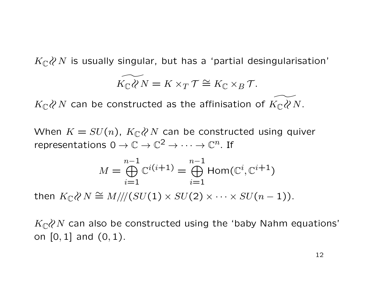$K_{\mathbb{C}}\mathcal{X}N$  is usually singular, but has a 'partial desingularisation'

$$
\widetilde{K_{\mathbb{C}}\mathcal{X}}N = K \times_T \mathcal{T} \cong K_{\mathbb{C}} \times_B \mathcal{T}.
$$

 $K_{\mathbb{C}}\mathcal{X}N$  can be constructed as the affinisation of  $K_{\mathbb{C}}\mathcal{X}N$ .

When  $K = SU(n)$ ,  $K_{\mathbb{C}} \wr N$  can be constructed using quiver representations  $0 \to \mathbb{C} \to \mathbb{C}^2 \to \cdots \to \mathbb{C}^n$ . If

$$
M = \bigoplus_{i=1}^{n-1} \mathbb{C}^{i(i+1)} = \bigoplus_{i=1}^{n-1} \text{Hom}(\mathbb{C}^i, \mathbb{C}^{i+1})
$$

then  $K_{\mathbb{C}} \wr N \cong M/\!/(SU(1)\times SU(2) \times \cdots \times SU(n-1)).$ 

 $K_{\mathbb{C}}$  an also be constructed using the 'baby Nahm equations' on [0, 1] and (0, 1).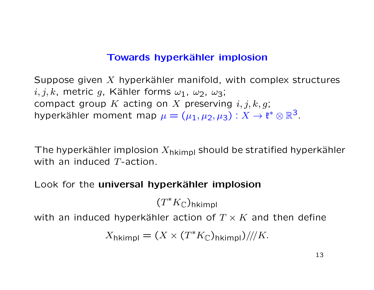#### Towards hyperkähler implosion

Suppose given  $X$  hyperkähler manifold, with complex structures  $i, j, k$ , metric g, Kähler forms  $\omega_1$ ,  $\omega_2$ ,  $\omega_3$ ; compact group  $K$  acting on  $X$  preserving  $i, j, k, g$ ; hyperkähler moment map  $\mu = (\mu_1, \mu_2, \mu_3) : X \to \mathfrak{k}^* \otimes \mathbb{R}^3$ .

The hyperkähler implosion  $X_{h$ kimpl should be stratified hyperkähler with an induced T-action.

Look for the universal hyperkähler implosion

 $(T^*K_{\mathbb C})$ hkimpl

with an induced hyperkähler action of  $T \times K$  and then define

$$
X_{\text{hkimpl}} = (X \times (T^*K_{\mathbb{C}})_{\text{hkimpl}}) / \! / K.
$$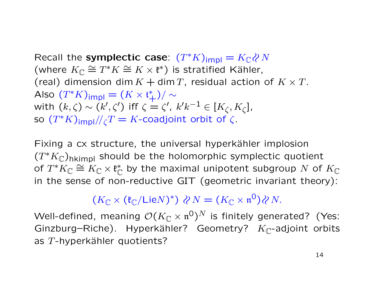Recall the symplectic case:  $(T^*K)_{impl} = K_{\mathbb{C}} \langle N \rangle$ (where  $K_{\mathbb{C}} \cong T^*K \cong K \times \mathfrak{k}^*$ ) is stratified Kähler, (real) dimension dim  $K + \dim T$ , residual action of  $K \times T$ . Also  $(T^*K)_{\text{impl}} = (K \times \mathfrak{t}^*_+)/\sim$ with  $(k,\zeta)\sim(k',\zeta')$  iff  $\zeta=\zeta',\ k'k^{-1}\in[K_\zeta,K_\zeta],$ so  $(T^*K)_{\mathsf{impl}}/\!/_{\zeta}T=K\text{-}\mathsf{coadjoint}$  orbit of  $\zeta$  .

Fixing a cx structure, the universal hyperkähler implosion  $(T^*K_{\mathbb C})$ hkimpl should be the holomorphic symplectic quotient of  $T^*K_{\mathbb C}\cong K_{\mathbb C}\times \mathfrak{k}_{\mathbb C}^*$  $_\mathbb{C}^*$  by the maximal unipotent subgroup  $N$  of  $K_\mathbb{C}$ in the sense of non-reductive GIT (geometric invariant theory):

 $(K_{\mathbb{C}} \times (\mathfrak{k}_{\mathbb{C}}/\mathsf{Lie} N)^*) \otimes N = (K_{\mathbb{C}} \times \mathfrak{n}^0) \otimes N.$ 

Well-defined, meaning  $\mathcal{O}(K_\mathbb{C}\times \mathfrak{n}^0)^N$  is finitely generated? (Yes: Ginzburg–Riche). Hyperkähler? Geometry?  $K_{\mathbb{C}}$ -adjoint orbits as  $T$ -hyperkähler quotients?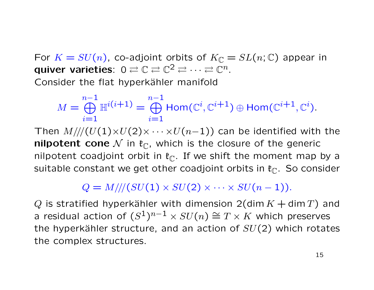For  $K = SU(n)$ , co-adjoint orbits of  $K_{\mathbb{C}} = SL(n; \mathbb{C})$  appear in quiver varieties:  $0 \rightleftarrows \mathbb{C} \rightleftarrows \mathbb{C}^2 \rightleftarrows \cdots \rightleftarrows \mathbb{C}^n$ . Consider the flat hyperkähler manifold

$$
M = \bigoplus_{i=1}^{n-1} \mathbb{H}^{i(i+1)} = \bigoplus_{i=1}^{n-1} \text{Hom}(\mathbb{C}^i, \mathbb{C}^{i+1}) \oplus \text{Hom}(\mathbb{C}^{i+1}, \mathbb{C}^i).
$$

Then  $M///(U(1)\times U(2)\times \cdots \times U(n-1))$  can be identified with the **nilpotent cone** N in  $\mathfrak{k}_{\mathbb{C}}$ , which is the closure of the generic nilpotent coadjoint orbit in  $\mathfrak{k}_{\mathbb{C}}$ . If we shift the moment map by a suitable constant we get other coadjoint orbits in  $\mathfrak{k}_{\mathbb{C}}$ . So consider

# $Q = M///(SU(1) \times SU(2) \times \cdots \times SU(n-1)).$

Q is stratified hyperkähler with dimension  $2$ (dim  $K +$  dim T) and a residual action of  $(S^1)^{n-1} \times SU(n) \cong T \times K$  which preserves the hyperkähler structure, and an action of  $SU(2)$  which rotates the complex structures.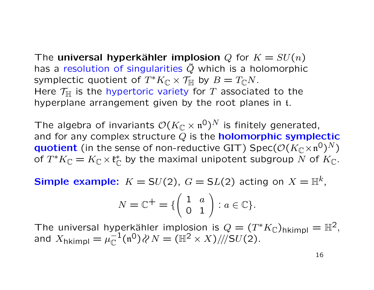The universal hyperkähler implosion Q for  $K = SU(n)$ has a resolution of singularities  $\tilde{Q}$  which is a holomorphic symplectic quotient of  $T^*K_{\mathbb C}\times \mathcal{T}_{\mathbb H}$  by  $B=T_{\mathbb C}N.$ Here  $\mathcal{T}_{\mathbb{H}}$  is the hypertoric variety for T associated to the hyperplane arrangement given by the root planes in t.

The algebra of invariants  $\mathcal{O}(K_\mathbb{C}\times \mathfrak{n}^0)^N$  is finitely generated, and for any complex structure  $Q$  is the **holomorphic symplectic** quotient (in the sense of non-reductive GIT)  $\text{Spec}(\mathcal{O}(K_\mathbb{C} \times \mathfrak{n}^0)^N)$ of  $T^*K_{\mathbb C}=K_{\mathbb C}\times \mathfrak{k}_{\mathbb C}^*$  $_{\mathbb{C}}^*$  by the maximal unipotent subgroup  $N$  of  $K_{\mathbb{C}}.$ 

**Simple example:**  $K = SU(2)$ ,  $G = SL(2)$  acting on  $X = \mathbb{H}^k$ ,

$$
N = \mathbb{C}^+ = \{ \begin{pmatrix} 1 & a \\ 0 & 1 \end{pmatrix} : a \in \mathbb{C} \}.
$$

The universal hyperkähler implosion is  $Q = (T^*K_{\mathbb{C}})_{hkimpl} = \mathbb{H}^2$ , and  $X_{\text{hkimpl}} = \mu_{\mathbb{C}}^{-1}$  $\mathbb{C}^1(\mathfrak{n}^0)\wr N=(\mathbb{H}^2\times X)\mathord{/\!/} \mathrm{SU}(2).$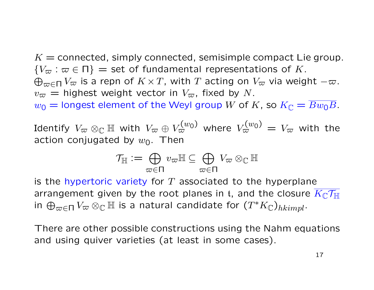$K =$  connected, simply connected, semisimple compact Lie group.  ${V_\varpi : \varpi \in \Pi}$  = set of fundamental representations of K.  $\bigoplus_{\varpi \in \Pi} V_\varpi$  is a repn of  $K \times T$ , with  $T$  acting on  $V_\varpi$  via weight  $-\varpi.$  $v_{\varpi}$  = highest weight vector in  $V_{\varpi}$ , fixed by N.  $w_0 =$  longest element of the Weyl group W of K, so  $K_{\mathbb{C}} = \overline{Bw_0B}$ .

Identify  $V_\varpi \otimes_\mathbb{C} \mathbb{H}$  with  $V_\varpi \oplus V_\varpi^{(w_0)}$  where  $V_\varpi^{(w_0)} = V_\varpi$  with the action conjugated by  $w_0$ . Then

$$
\mathcal{T}_{\mathbb{H}}:=\bigoplus_{\varpi\in\Pi}v_{\varpi}\mathbb{H}\subseteq\bigoplus_{\varpi\in\Pi}V_{\varpi}\otimes_{\mathbb{C}}\mathbb{H}
$$

is the hypertoric variety for T associated to the hyperplane arrangement given by the root planes in t, and the closure  $K_{\mathbb{C}}\mathcal{T}_{\mathbb{H}}$ in  $\bigoplus_{\varpi \in \Pi} V_{\varpi} \otimes_{\mathbb{C}} \mathbb{H}$  is a natural candidate for  $(T^*K_{\mathbb{C}})_{hkimpl}$ .

There are other possible constructions using the Nahm equations and using quiver varieties (at least in some cases).